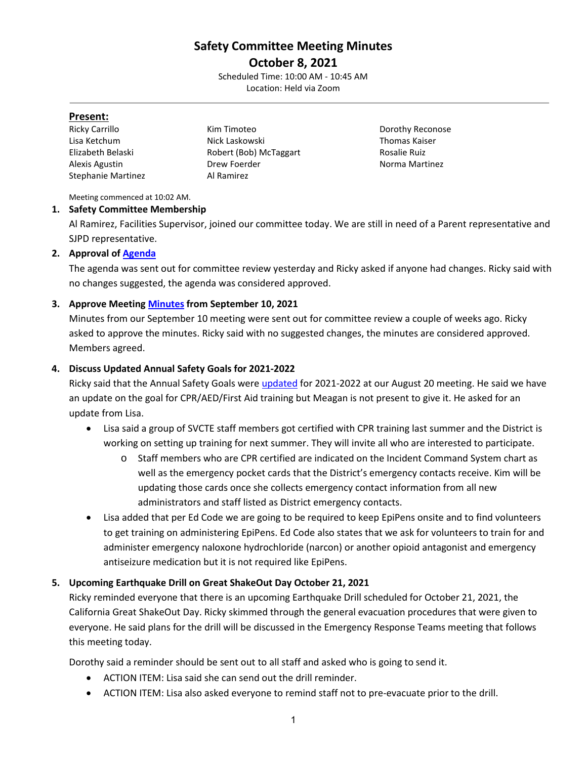# **Safety Committee Meeting Minutes October 8, 2021**

Scheduled Time: 10:00 AM - 10:45 AM Location: Held via Zoom

#### **Present:**

| Ricky Carrillo            |
|---------------------------|
| Lisa Ketchum              |
| Elizabeth Belaski         |
| Alexis Agustin            |
| <b>Stephanie Martinez</b> |

Kim Timoteo **Dorothy Reconose** Nick Laskowski **Nick Laskowski** Thomas Kaiser Robert (Bob) McTaggart Rosalie Ruiz **Drew Foerder Norma Martinez** Al Ramirez

Meeting commenced at 10:02 AM.

## **1. Safety Committee Membership**

Al Ramirez, Facilities Supervisor, joined our committee today. We are still in need of a Parent representative and SJPD representative.

# **2. Approval of [Agenda](https://drive.google.com/file/d/1WF4g3h1iy-a2XE_O21zg6zUFnDyp4a9I/view?usp=sharing)**

The agenda was sent out for committee review yesterday and Ricky asked if anyone had changes. Ricky said with no changes suggested, the agenda was considered approved.

## **3. Approve Meeting [Minutes](https://drive.google.com/file/d/1Pb41WcKhbdZ7w-dJFnUkhrPbIOakwuo0/view?usp=sharing) from September 10, 2021**

Minutes from our September 10 meeting were sent out for committee review a couple of weeks ago. Ricky asked to approve the minutes. Ricky said with no suggested changes, the minutes are considered approved. Members agreed.

## **4. Discuss Updated Annual Safety Goals for 2021-2022**

Ricky said that the Annual Safety Goals were [updated](https://drive.google.com/file/d/1XcaK28CKZoY-EYsLDvVuvd8BfpHQSFj0/view?usp=sharing) for 2021-2022 at our August 20 meeting. He said we have an update on the goal for CPR/AED/First Aid training but Meagan is not present to give it. He asked for an update from Lisa.

- Lisa said a group of SVCTE staff members got certified with CPR training last summer and the District is working on setting up training for next summer. They will invite all who are interested to participate.
	- o Staff members who are CPR certified are indicated on the Incident Command System chart as well as the emergency pocket cards that the District's emergency contacts receive. Kim will be updating those cards once she collects emergency contact information from all new administrators and staff listed as District emergency contacts.
- Lisa added that per Ed Code we are going to be required to keep EpiPens onsite and to find volunteers to get training on administering EpiPens. Ed Code also states that we ask for volunteers to train for and administer emergency naloxone hydrochloride (narcon) or another opioid antagonist and emergency antiseizure medication but it is not required like EpiPens.

# **5. Upcoming Earthquake Drill on Great ShakeOut Day October 21, 2021**

Ricky reminded everyone that there is an upcoming Earthquake Drill scheduled for October 21, 2021, the California Great ShakeOut Day. Ricky skimmed through the general evacuation procedures that were given to everyone. He said plans for the drill will be discussed in the Emergency Response Teams meeting that follows this meeting today.

Dorothy said a reminder should be sent out to all staff and asked who is going to send it.

- ACTION ITEM: Lisa said she can send out the drill reminder.
- ACTION ITEM: Lisa also asked everyone to remind staff not to pre-evacuate prior to the drill.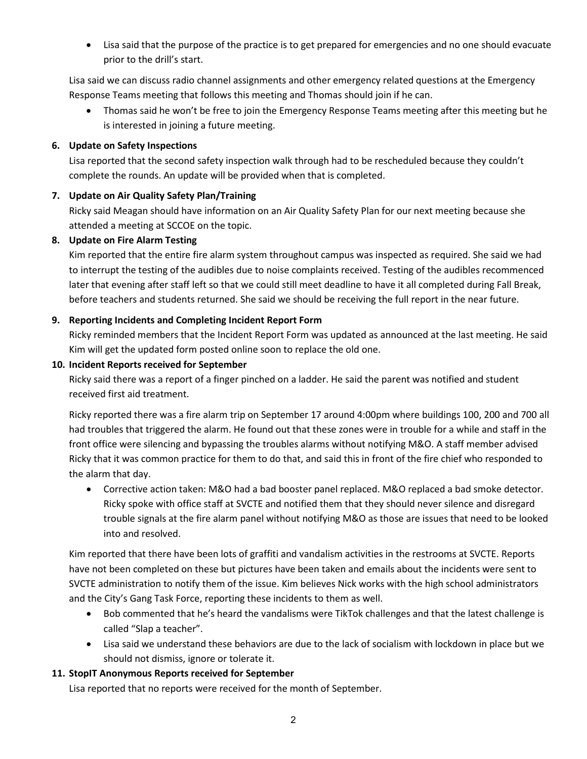• Lisa said that the purpose of the practice is to get prepared for emergencies and no one should evacuate prior to the drill's start.

Lisa said we can discuss radio channel assignments and other emergency related questions at the Emergency Response Teams meeting that follows this meeting and Thomas should join if he can.

• Thomas said he won't be free to join the Emergency Response Teams meeting after this meeting but he is interested in joining a future meeting.

#### **6. Update on Safety Inspections**

Lisa reported that the second safety inspection walk through had to be rescheduled because they couldn't complete the rounds. An update will be provided when that is completed.

#### **7. Update on Air Quality Safety Plan/Training**

Ricky said Meagan should have information on an Air Quality Safety Plan for our next meeting because she attended a meeting at SCCOE on the topic.

#### **8. Update on Fire Alarm Testing**

Kim reported that the entire fire alarm system throughout campus was inspected as required. She said we had to interrupt the testing of the audibles due to noise complaints received. Testing of the audibles recommenced later that evening after staff left so that we could still meet deadline to have it all completed during Fall Break, before teachers and students returned. She said we should be receiving the full report in the near future.

#### **9. Reporting Incidents and Completing Incident Report Form**

Ricky reminded members that the Incident Report Form was updated as announced at the last meeting. He said Kim will get the updated form posted online soon to replace the old one.

#### **10. Incident Reports received for September**

Ricky said there was a report of a finger pinched on a ladder. He said the parent was notified and student received first aid treatment.

Ricky reported there was a fire alarm trip on September 17 around 4:00pm where buildings 100, 200 and 700 all had troubles that triggered the alarm. He found out that these zones were in trouble for a while and staff in the front office were silencing and bypassing the troubles alarms without notifying M&O. A staff member advised Ricky that it was common practice for them to do that, and said this in front of the fire chief who responded to the alarm that day.

• Corrective action taken: M&O had a bad booster panel replaced. M&O replaced a bad smoke detector. Ricky spoke with office staff at SVCTE and notified them that they should never silence and disregard trouble signals at the fire alarm panel without notifying M&O as those are issues that need to be looked into and resolved.

Kim reported that there have been lots of graffiti and vandalism activities in the restrooms at SVCTE. Reports have not been completed on these but pictures have been taken and emails about the incidents were sent to SVCTE administration to notify them of the issue. Kim believes Nick works with the high school administrators and the City's Gang Task Force, reporting these incidents to them as well.

- Bob commented that he's heard the vandalisms were TikTok challenges and that the latest challenge is called "Slap a teacher".
- Lisa said we understand these behaviors are due to the lack of socialism with lockdown in place but we should not dismiss, ignore or tolerate it.

#### **11. StopIT Anonymous Reports received for September**

Lisa reported that no reports were received for the month of September.